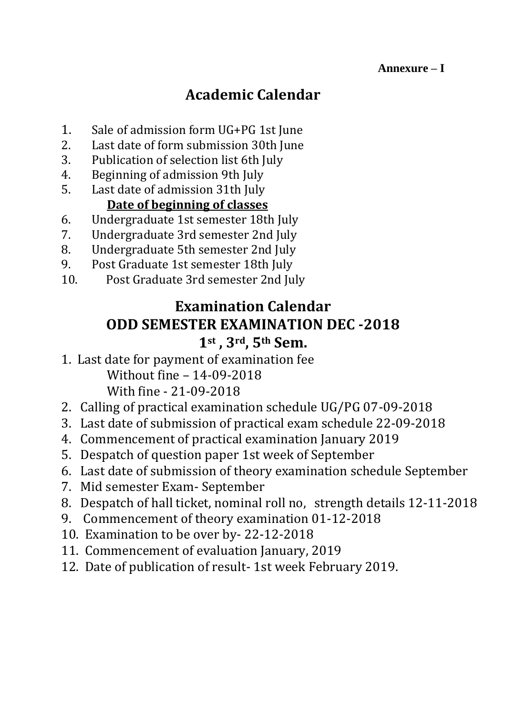# **Academic Calendar**

- 1. Sale of admission form UG+PG 1st June
- 2. Last date of form submission 30th June
- 3. Publication of selection list 6th July
- 4. Beginning of admission 9th July
- 5. Last date of admission 31th July

# **Date of beginning of classes**

- 6. Undergraduate 1st semester 18th July
- 7. Undergraduate 3rd semester 2nd July
- 8. Undergraduate 5th semester 2nd July
- 9. Post Graduate 1st semester 18th July
- 10. Post Graduate 3rd semester 2nd July

# **Examination Calendar ODD SEMESTER EXAMINATION DEC -2018 1st , 3rd, 5th Sem.**

- 1. Last date for payment of examination fee Without fine – 14-09-2018 With fine - 21-09-2018
- 2. Calling of practical examination schedule UG/PG 07-09-2018
- 3. Last date of submission of practical exam schedule 22-09-2018
- 4. Commencement of practical examination January 2019
- 5. Despatch of question paper 1st week of September
- 6. Last date of submission of theory examination schedule September
- 7. Mid semester Exam- September
- 8. Despatch of hall ticket, nominal roll no, strength details 12-11-2018
- 9. Commencement of theory examination 01-12-2018
- 10. Examination to be over by- 22-12-2018
- 11. Commencement of evaluation January, 2019
- 12. Date of publication of result- 1st week February 2019.